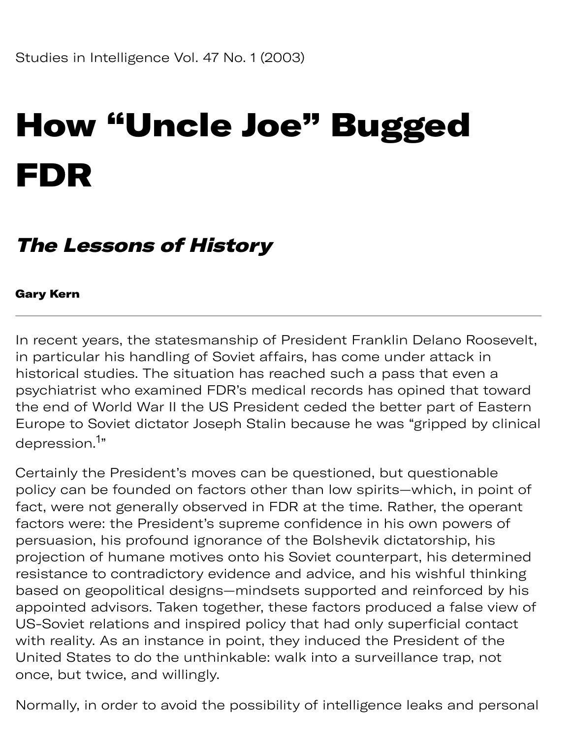# How "Uncle Joe" Bugged FDR

#### The Lessons of History

#### Gary Kern

In recent years, the statesmanship of President Franklin Delano Roosevelt, in particular his handling of Soviet affairs, has come under attack in historical studies. The situation has reached such a pass that even a psychiatrist who examined FDR's medical records has opined that toward the end of World War II the US President ceded the better part of Eastern Europe to Soviet dictator Joseph Stalin because he was "gripped by clinical depression.<sup>1</sup>"

Certainly the President's moves can be questioned, but questionable policy can be founded on factors other than low spirits—which, in point of fact, were not generally observed in FDR at the time. Rather, the operant factors were: the President's supreme confidence in his own powers of persuasion, his profound ignorance of the Bolshevik dictatorship, his projection of humane motives onto his Soviet counterpart, his determined resistance to contradictory evidence and advice, and his wishful thinking based on geopolitical designs—mindsets supported and reinforced by his appointed advisors. Taken together, these factors produced a false view of US-Soviet relations and inspired policy that had only superficial contact with reality. As an instance in point, they induced the President of the United States to do the unthinkable: walk into a surveillance trap, not once, but twice, and willingly.

Normally, in order to avoid the possibility of intelligence leaks and personal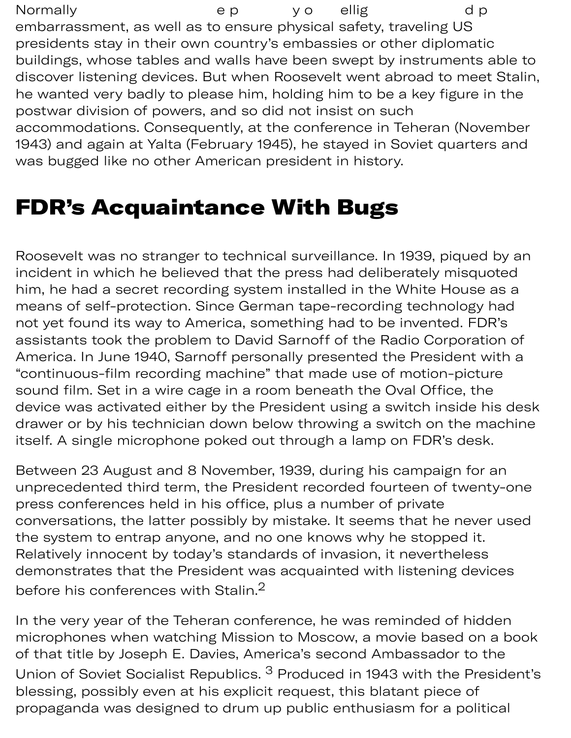Normally ep yo ellig d p embarrassment, as well as to ensure physical safety, traveling US presidents stay in their own country's embassies or other diplomatic buildings, whose tables and walls have been swept by instruments able to discover listening devices. But when Roosevelt went abroad to meet Stalin, he wanted very badly to please him, holding him to be a key figure in the postwar division of powers, and so did not insist on such accommodations. Consequently, at the conference in Teheran (November 1943) and again at Yalta (February 1945), he stayed in Soviet quarters and was bugged like no other American president in history.

#### FDR's Acquaintance With Bugs

Roosevelt was no stranger to technical surveillance. In 1939, piqued by an incident in which he believed that the press had deliberately misquoted him, he had a secret recording system installed in the White House as a means of self-protection. Since German tape-recording technology had not yet found its way to America, something had to be invented. FDR's assistants took the problem to David Sarnoff of the Radio Corporation of America. In June 1940, Sarnoff personally presented the President with a "continuous-film recording machine" that made use of motion-picture sound film. Set in a wire cage in a room beneath the Oval Office, the device was activated either by the President using a switch inside his desk drawer or by his technician down below throwing a switch on the machine itself. A single microphone poked out through a lamp on FDR's desk.

Between 23 August and 8 November, 1939, during his campaign for an unprecedented third term, the President recorded fourteen of twenty-one press conferences held in his office, plus a number of private conversations, the latter possibly by mistake. It seems that he never used the system to entrap anyone, and no one knows why he stopped it. Relatively innocent by today's standards of invasion, it nevertheless demonstrates that the President was acquainted with listening devices before his conferences with Stalin.<sup>2</sup>

In the very year of the Teheran conference, he was reminded of hidden microphones when watching Mission to Moscow, a movie based on a book of that title by Joseph E. Davies, America's second Ambassador to the Union of Soviet Socialist Republics. <sup>3</sup> Produced in 1943 with the President's blessing, possibly even at his explicit request, this blatant piece of propaganda was designed to drum up public enthusiasm for a political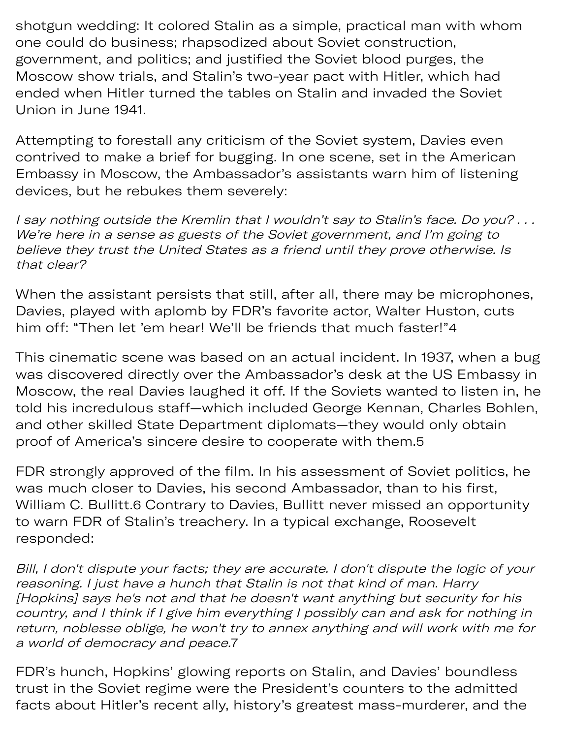shotgun wedding: It colored Stalin as a simple, practical man with whom one could do business; rhapsodized about Soviet construction, government, and politics; and justified the Soviet blood purges, the Moscow show trials, and Stalin's two-year pact with Hitler, which had ended when Hitler turned the tables on Stalin and invaded the Soviet Union in June 1941.

Attempting to forestall any criticism of the Soviet system, Davies even contrived to make a brief for bugging. In one scene, set in the American Embassy in Moscow, the Ambassador's assistants warn him of listening devices, but he rebukes them severely:

I say nothing outside the Kremlin that I wouldn't say to Stalin's face. Do you? . . . We're here in a sense as guests of the Soviet government, and I'm going to believe they trust the United States as a friend until they prove otherwise. Is that clear?

When the assistant persists that still, after all, there may be microphones, Davies, played with aplomb by FDR's favorite actor, Walter Huston, cuts him off: "Then let 'em hear! We'll be friends that much faster!"4

This cinematic scene was based on an actual incident. In 1937, when a bug was discovered directly over the Ambassador's desk at the US Embassy in Moscow, the real Davies laughed it off. If the Soviets wanted to listen in, he told his incredulous staff—which included George Kennan, Charles Bohlen, and other skilled State Department diplomats—they would only obtain proof of America's sincere desire to cooperate with them.5

FDR strongly approved of the film. In his assessment of Soviet politics, he was much closer to Davies, his second Ambassador, than to his first, William C. Bullitt.6 Contrary to Davies, Bullitt never missed an opportunity to warn FDR of Stalin's treachery. In a typical exchange, Roosevelt responded:

Bill, I don't dispute your facts; they are accurate. I don't dispute the logic of your reasoning. I just have a hunch that Stalin is not that kind of man. Harry [Hopkins] says he's not and that he doesn't want anything but security for his country, and I think if I give him everything I possibly can and ask for nothing in return, noblesse oblige, he won't try to annex anything and will work with me for a world of democracy and peace.7

FDR's hunch, Hopkins' glowing reports on Stalin, and Davies' boundless trust in the Soviet regime were the President's counters to the admitted facts about Hitler's recent ally, history's greatest mass-murderer, and the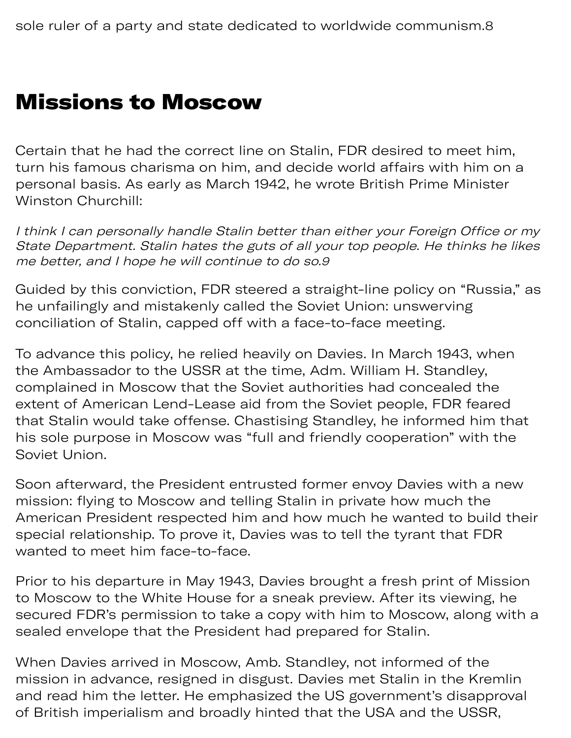#### Missions to Moscow

Certain that he had the correct line on Stalin, FDR desired to meet him, turn his famous charisma on him, and decide world affairs with him on a personal basis. As early as March 1942, he wrote British Prime Minister Winston Churchill:

I think I can personally handle Stalin better than either your Foreign Office or my State Department. Stalin hates the guts of all your top people. He thinks he likes me better, and I hope he will continue to do so.9

Guided by this conviction, FDR steered a straight-line policy on "Russia," as he unfailingly and mistakenly called the Soviet Union: unswerving conciliation of Stalin, capped off with a face-to-face meeting.

To advance this policy, he relied heavily on Davies. In March 1943, when the Ambassador to the USSR at the time, Adm. William H. Standley, complained in Moscow that the Soviet authorities had concealed the extent of American Lend-Lease aid from the Soviet people, FDR feared that Stalin would take offense. Chastising Standley, he informed him that his sole purpose in Moscow was "full and friendly cooperation" with the Soviet Union.

Soon afterward, the President entrusted former envoy Davies with a new mission: flying to Moscow and telling Stalin in private how much the American President respected him and how much he wanted to build their special relationship. To prove it, Davies was to tell the tyrant that FDR wanted to meet him face-to-face.

Prior to his departure in May 1943, Davies brought a fresh print of Mission to Moscow to the White House for a sneak preview. After its viewing, he secured FDR's permission to take a copy with him to Moscow, along with a sealed envelope that the President had prepared for Stalin.

When Davies arrived in Moscow, Amb. Standley, not informed of the mission in advance, resigned in disgust. Davies met Stalin in the Kremlin and read him the letter. He emphasized the US government's disapproval of British imperialism and broadly hinted that the USA and the USSR,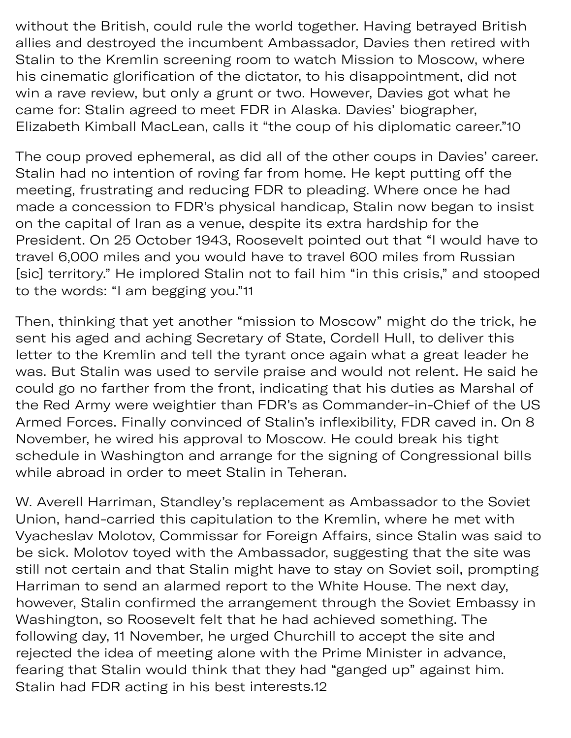without the British, could rule the world together. Having betrayed British allies and destroyed the incumbent Ambassador, Davies then retired with Stalin to the Kremlin screening room to watch Mission to Moscow, where his cinematic glorification of the dictator, to his disappointment, did not win a rave review, but only a grunt or two. However, Davies got what he came for: Stalin agreed to meet FDR in Alaska. Davies' biographer, Elizabeth Kimball MacLean, calls it "the coup of his diplomatic career."10

The coup proved ephemeral, as did all of the other coups in Davies' career. Stalin had no intention of roving far from home. He kept putting off the meeting, frustrating and reducing FDR to pleading. Where once he had made a concession to FDR's physical handicap, Stalin now began to insist on the capital of Iran as a venue, despite its extra hardship for the President. On 25 October 1943, Roosevelt pointed out that "I would have to travel 6,000 miles and you would have to travel 600 miles from Russian [sic] territory." He implored Stalin not to fail him "in this crisis," and stooped to the words: "I am begging you."11

Then, thinking that yet another "mission to Moscow" might do the trick, he sent his aged and aching Secretary of State, Cordell Hull, to deliver this letter to the Kremlin and tell the tyrant once again what a great leader he was. But Stalin was used to servile praise and would not relent. He said he could go no farther from the front, indicating that his duties as Marshal of the Red Army were weightier than FDR's as Commander-in-Chief of the US Armed Forces. Finally convinced of Stalin's inflexibility, FDR caved in. On 8 November, he wired his approval to Moscow. He could break his tight schedule in Washington and arrange for the signing of Congressional bills while abroad in order to meet Stalin in Teheran.

W. Averell Harriman, Standley's replacement as Ambassador to the Soviet Union, hand-carried this capitulation to the Kremlin, where he met with Vyacheslav Molotov, Commissar for Foreign Affairs, since Stalin was said to be sick. Molotov toyed with the Ambassador, suggesting that the site was still not certain and that Stalin might have to stay on Soviet soil, prompting Harriman to send an alarmed report to the White House. The next day, however, Stalin confirmed the arrangement through the Soviet Embassy in Washington, so Roosevelt felt that he had achieved something. The following day, 11 November, he urged Churchill to accept the site and rejected the idea of meeting alone with the Prime Minister in advance, fearing that Stalin would think that they had "ganged up" against him. Stalin had FDR acting in his best [interests.12](https://interests.12)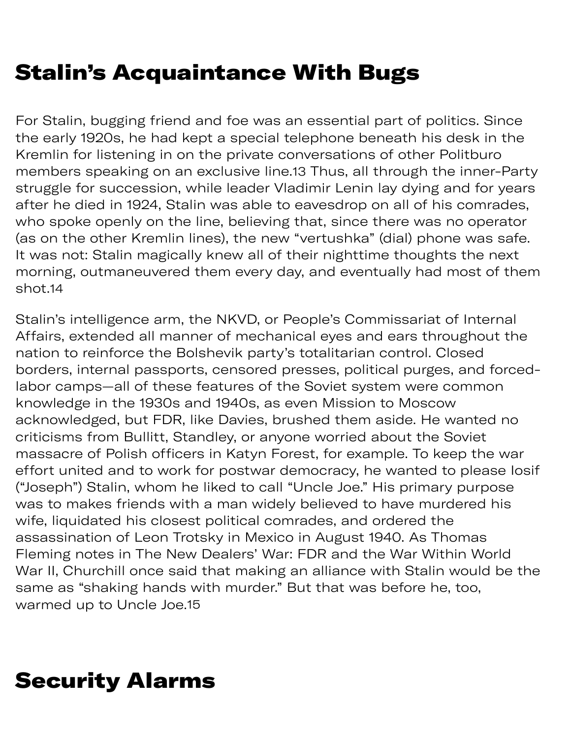# Stalin's Acquaintance With Bugs

For Stalin, bugging friend and foe was an essential part of politics. Since the early 1920s, he had kept a special telephone beneath his desk in the Kremlin for listening in on the private conversations of other Politburo members speaking on an exclusive line.13 Thus, all through the inner-Party struggle for succession, while leader Vladimir Lenin lay dying and for years after he died in 1924, Stalin was able to eavesdrop on all of his comrades, who spoke openly on the line, believing that, since there was no operator (as on the other Kremlin lines), the new "vertushka" (dial) phone was safe. It was not: Stalin magically knew all of their nighttime thoughts the next morning, outmaneuvered them every day, and eventually had most of them shot.14

Stalin's intelligence arm, the NKVD, or People's Commissariat of Internal Affairs, extended all manner of mechanical eyes and ears throughout the nation to reinforce the Bolshevik party's totalitarian control. Closed borders, internal passports, censored presses, political purges, and forcedlabor camps—all of these features of the Soviet system were common knowledge in the 1930s and 1940s, as even Mission to Moscow acknowledged, but FDR, like Davies, brushed them aside. He wanted no criticisms from Bullitt, Standley, or anyone worried about the Soviet massacre of Polish officers in Katyn Forest, for example. To keep the war effort united and to work for postwar democracy, he wanted to please Iosif ("Joseph") Stalin, whom he liked to call "Uncle Joe." His primary purpose was to makes friends with a man widely believed to have murdered his wife, liquidated his closest political comrades, and ordered the assassination of Leon Trotsky in Mexico in August 1940. As Thomas Fleming notes in The New Dealers' War: FDR and the War Within World War II, Churchill once said that making an alliance with Stalin would be the same as "shaking hands with murder." But that was before he, too, warmed up to Uncle Joe.15

### Security Alarms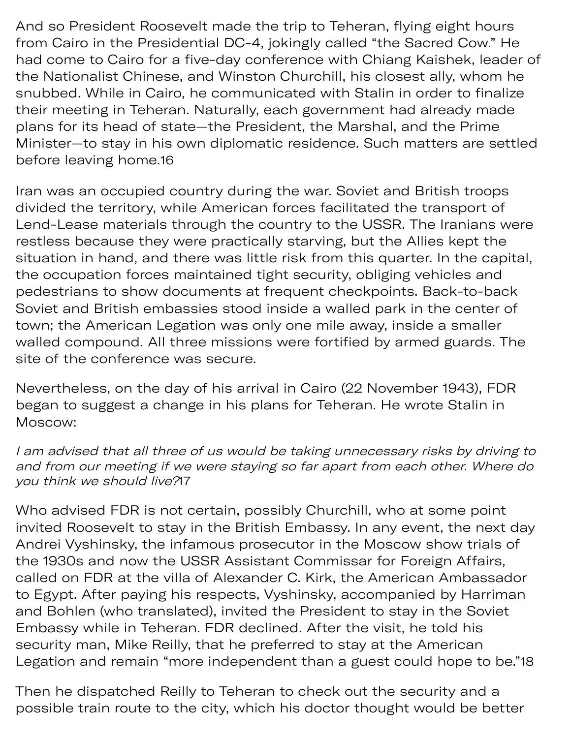And so President Roosevelt made the trip to Teheran, flying eight hours from Cairo in the Presidential DC-4, jokingly called "the Sacred Cow." He had come to Cairo for a five-day conference with Chiang Kaishek, leader of the Nationalist Chinese, and Winston Churchill, his closest ally, whom he snubbed. While in Cairo, he communicated with Stalin in order to finalize their meeting in Teheran. Naturally, each government had already made plans for its head of state—the President, the Marshal, and the Prime Minister—to stay in his own diplomatic residence. Such matters are settled before leaving home.16

Iran was an occupied country during the war. Soviet and British troops divided the territory, while American forces facilitated the transport of Lend-Lease materials through the country to the USSR. The Iranians were restless because they were practically starving, but the Allies kept the situation in hand, and there was little risk from this quarter. In the capital, the occupation forces maintained tight security, obliging vehicles and pedestrians to show documents at frequent checkpoints. Back-to-back Soviet and British embassies stood inside a walled park in the center of town; the American Legation was only one mile away, inside a smaller walled compound. All three missions were fortified by armed guards. The site of the conference was secure.

Nevertheless, on the day of his arrival in Cairo (22 November 1943), FDR began to suggest a change in his plans for Teheran. He wrote Stalin in Moscow:

I am advised that all three of us would be taking unnecessary risks by driving to and from our meeting if we were staying so far apart from each other. Where do you think we should live?17

Who advised FDR is not certain, possibly Churchill, who at some point invited Roosevelt to stay in the British Embassy. In any event, the next day Andrei Vyshinsky, the infamous prosecutor in the Moscow show trials of the 1930s and now the USSR Assistant Commissar for Foreign Affairs, called on FDR at the villa of Alexander C. Kirk, the American Ambassador to Egypt. After paying his respects, Vyshinsky, accompanied by Harriman and Bohlen (who translated), invited the President to stay in the Soviet Embassy while in Teheran. FDR declined. After the visit, he told his security man, Mike Reilly, that he preferred to stay at the American Legation and remain "more independent than a guest could hope to be."18

Then he dispatched Reilly to Teheran to check out the security and a possible train route to the city, which his doctor thought would be better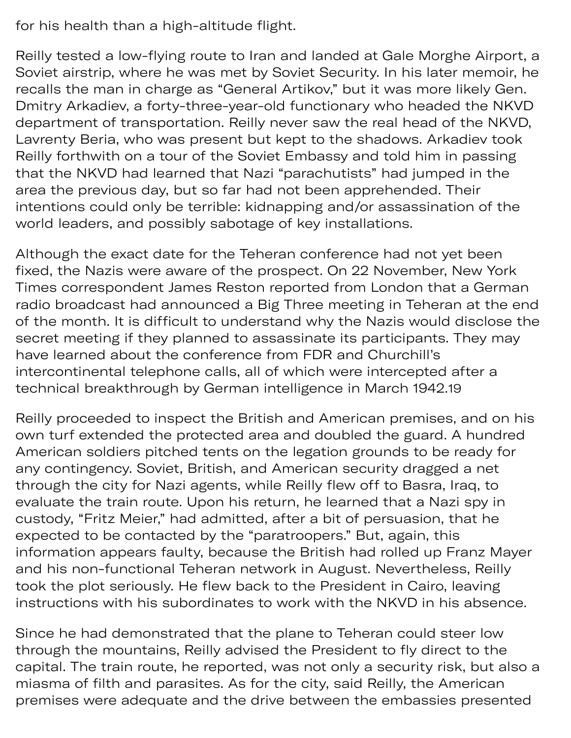for his health than a high-altitude flight.

Reilly tested a low-flying route to Iran and landed at Gale Morghe Airport, a Soviet airstrip, where he was met by Soviet Security. In his later memoir, he recalls the man in charge as "General Artikov," but it was more likely Gen. Dmitry Arkadiev, a forty-three-year-old functionary who headed the NKVD department of transportation. Reilly never saw the real head of the NKVD, Lavrenty Beria, who was present but kept to the shadows. Arkadiev took Reilly forthwith on a tour of the Soviet Embassy and told him in passing that the NKVD had learned that Nazi "parachutists" had jumped in the area the previous day, but so far had not been apprehended. Their intentions could only be terrible: kidnapping and/or assassination of the world leaders, and possibly sabotage of key installations.

Although the exact date for the Teheran conference had not yet been fixed, the Nazis were aware of the prospect. On 22 November, New York Times correspondent James Reston reported from London that a German radio broadcast had announced a Big Three meeting in Teheran at the end of the month. It is difficult to understand why the Nazis would disclose the secret meeting if they planned to assassinate its participants. They may have learned about the conference from FDR and Churchill's intercontinental telephone calls, all of which were intercepted after a technical breakthrough by German intelligence in March 1942.19

Reilly proceeded to inspect the British and American premises, and on his own turf extended the protected area and doubled the guard. A hundred American soldiers pitched tents on the legation grounds to be ready for any contingency. Soviet, British, and American security dragged a net through the city for Nazi agents, while Reilly flew off to Basra, Iraq, to evaluate the train route. Upon his return, he learned that a Nazi spy in custody, "Fritz Meier," had admitted, after a bit of persuasion, that he expected to be contacted by the "paratroopers." But, again, this information appears faulty, because the British had rolled up Franz Mayer and his non-functional Teheran network in August. Nevertheless, Reilly took the plot seriously. He flew back to the President in Cairo, leaving instructions with his subordinates to work with the NKVD in his absence.

Since he had demonstrated that the plane to Teheran could steer low through the mountains, Reilly advised the President to fly direct to the capital. The train route, he reported, was not only a security risk, but also a miasma of filth and parasites. As for the city, said Reilly, the American premises were adequate and the drive between the embassies presented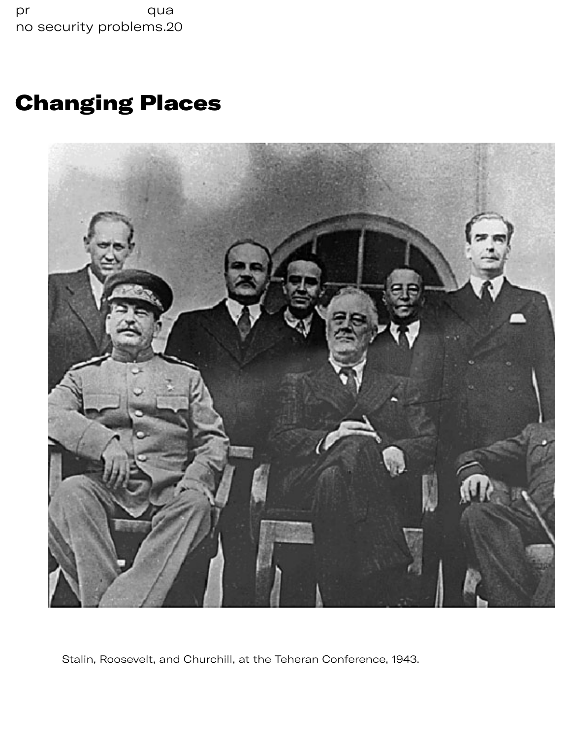pr qua no security [problems.20](https://problems.20) 

# Changing Places



s pr

Stalin, Roosevelt, and Churchill, at the Teheran Conference, 1943.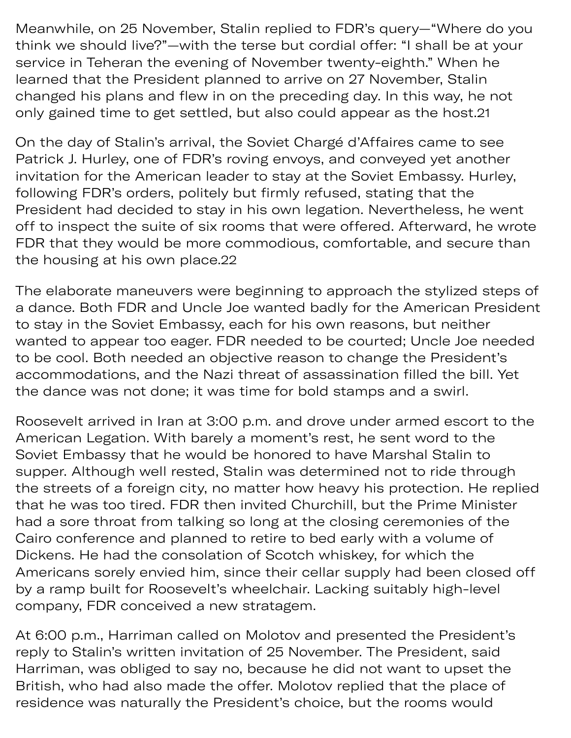Meanwhile, on 25 November, Stalin replied to FDR's query—"Where do you think we should live?"—with the terse but cordial offer: "I shall be at your service in Teheran the evening of November twenty-eighth." When he learned that the President planned to arrive on 27 November, Stalin changed his plans and flew in on the preceding day. In this way, he not only gained time to get settled, but also could appear as the host.21

On the day of Stalin's arrival, the Soviet Chargé d'Affaires came to see Patrick J. Hurley, one of FDR's roving envoys, and conveyed yet another invitation for the American leader to stay at the Soviet Embassy. Hurley, following FDR's orders, politely but firmly refused, stating that the President had decided to stay in his own legation. Nevertheless, he went off to inspect the suite of six rooms that were offered. Afterward, he wrote FDR that they would be more commodious, comfortable, and secure than the housing at his own [place.22](https://place.22)

The elaborate maneuvers were beginning to approach the stylized steps of a dance. Both FDR and Uncle Joe wanted badly for the American President to stay in the Soviet Embassy, each for his own reasons, but neither wanted to appear too eager. FDR needed to be courted; Uncle Joe needed to be cool. Both needed an objective reason to change the President's accommodations, and the Nazi threat of assassination filled the bill. Yet the dance was not done; it was time for bold stamps and a swirl.

Roosevelt arrived in Iran at 3:00 p.m. and drove under armed escort to the American Legation. With barely a moment's rest, he sent word to the Soviet Embassy that he would be honored to have Marshal Stalin to supper. Although well rested, Stalin was determined not to ride through the streets of a foreign city, no matter how heavy his protection. He replied that he was too tired. FDR then invited Churchill, but the Prime Minister had a sore throat from talking so long at the closing ceremonies of the Cairo conference and planned to retire to bed early with a volume of Dickens. He had the consolation of Scotch whiskey, for which the Americans sorely envied him, since their cellar supply had been closed off by a ramp built for Roosevelt's wheelchair. Lacking suitably high-level company, FDR conceived a new stratagem.

At 6:00 p.m., Harriman called on Molotov and presented the President's reply to Stalin's written invitation of 25 November. The President, said Harriman, was obliged to say no, because he did not want to upset the British, who had also made the offer. Molotov replied that the place of residence was naturally the President's choice, but the rooms would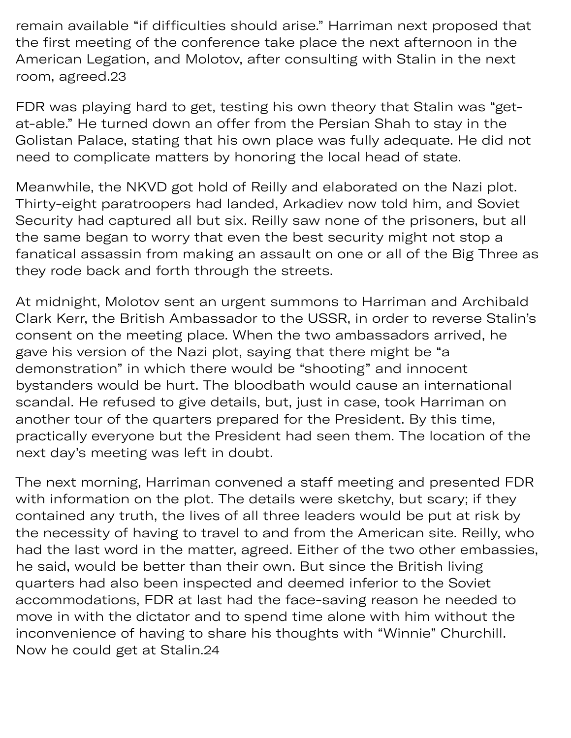remain available "if difficulties should arise." Harriman next proposed that the first meeting of the conference take place the next afternoon in the American Legation, and Molotov, after consulting with Stalin in the next room, [agreed.23](https://agreed.23) 

FDR was playing hard to get, testing his own theory that Stalin was "getat-able." He turned down an offer from the Persian Shah to stay in the Golistan Palace, stating that his own place was fully adequate. He did not need to complicate matters by honoring the local head of state.

Meanwhile, the NKVD got hold of Reilly and elaborated on the Nazi plot. Thirty-eight paratroopers had landed, Arkadiev now told him, and Soviet Security had captured all but six. Reilly saw none of the prisoners, but all the same began to worry that even the best security might not stop a fanatical assassin from making an assault on one or all of the Big Three as they rode back and forth through the streets.

At midnight, Molotov sent an urgent summons to Harriman and Archibald Clark Kerr, the British Ambassador to the USSR, in order to reverse Stalin's consent on the meeting place. When the two ambassadors arrived, he gave his version of the Nazi plot, saying that there might be "a demonstration" in which there would be "shooting" and innocent bystanders would be hurt. The bloodbath would cause an international scandal. He refused to give details, but, just in case, took Harriman on another tour of the quarters prepared for the President. By this time, practically everyone but the President had seen them. The location of the next day's meeting was left in doubt.

The next morning, Harriman convened a staff meeting and presented FDR with information on the plot. The details were sketchy, but scary; if they contained any truth, the lives of all three leaders would be put at risk by the necessity of having to travel to and from the American site. Reilly, who had the last word in the matter, agreed. Either of the two other embassies, he said, would be better than their own. But since the British living quarters had also been inspected and deemed inferior to the Soviet accommodations, FDR at last had the face-saving reason he needed to move in with the dictator and to spend time alone with him without the inconvenience of having to share his thoughts with "Winnie" Churchill. Now he could get at [Stalin.24](https://Stalin.24)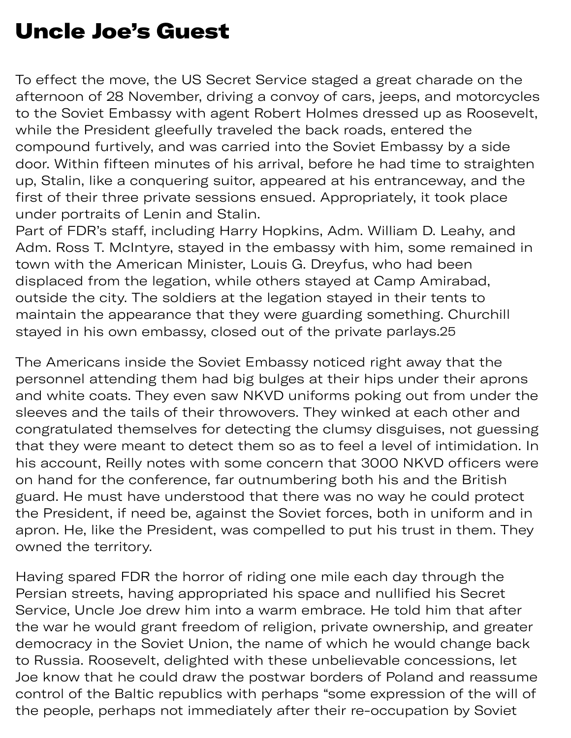### Uncle Joe's Guest

To effect the move, the US Secret Service staged a great charade on the afternoon of 28 November, driving a convoy of cars, jeeps, and motorcycles to the Soviet Embassy with agent Robert Holmes dressed up as Roosevelt, while the President gleefully traveled the back roads, entered the compound furtively, and was carried into the Soviet Embassy by a side door. Within fifteen minutes of his arrival, before he had time to straighten up, Stalin, like a conquering suitor, appeared at his entranceway, and the first of their three private sessions ensued. Appropriately, it took place under portraits of Lenin and Stalin.

Part of FDR's staff, including Harry Hopkins, Adm. William D. Leahy, and Adm. Ross T. McIntyre, stayed in the embassy with him, some remained in town with the American Minister, Louis G. Dreyfus, who had been displaced from the legation, while others stayed at Camp Amirabad, outside the city. The soldiers at the legation stayed in their tents to maintain the appearance that they were guarding something. Churchill stayed in his own embassy, closed out of the private [parlays.25](https://parlays.25) 

The Americans inside the Soviet Embassy noticed right away that the personnel attending them had big bulges at their hips under their aprons and white coats. They even saw NKVD uniforms poking out from under the sleeves and the tails of their throwovers. They winked at each other and congratulated themselves for detecting the clumsy disguises, not guessing that they were meant to detect them so as to feel a level of intimidation. In his account, Reilly notes with some concern that 3000 NKVD officers were on hand for the conference, far outnumbering both his and the British guard. He must have understood that there was no way he could protect the President, if need be, against the Soviet forces, both in uniform and in apron. He, like the President, was compelled to put his trust in them. They owned the territory.

Having spared FDR the horror of riding one mile each day through the Persian streets, having appropriated his space and nullified his Secret Service, Uncle Joe drew him into a warm embrace. He told him that after the war he would grant freedom of religion, private ownership, and greater democracy in the Soviet Union, the name of which he would change back to Russia. Roosevelt, delighted with these unbelievable concessions, let Joe know that he could draw the postwar borders of Poland and reassume control of the Baltic republics with perhaps "some expression of the will of the people, perhaps not immediately after their re-occupation by Soviet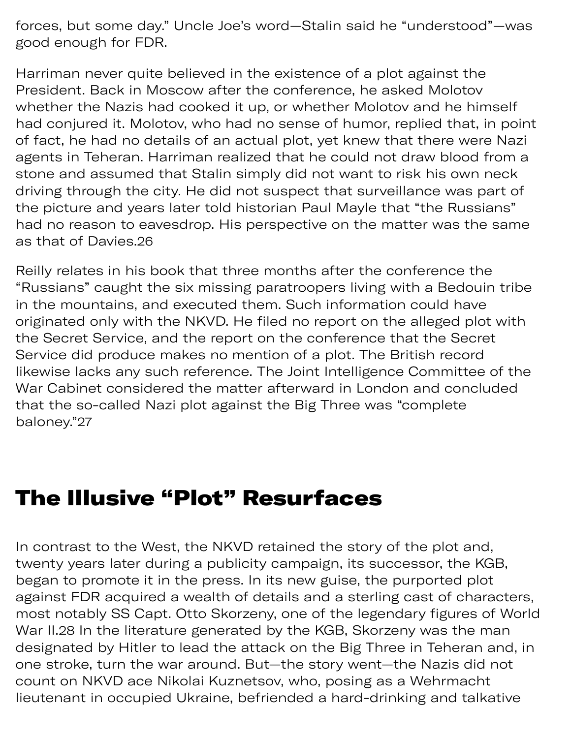forces, but some day." Uncle Joe's word—Stalin said he "understood"—was good enough for FDR.

Harriman never quite believed in the existence of a plot against the President. Back in Moscow after the conference, he asked Molotov whether the Nazis had cooked it up, or whether Molotov and he himself had conjured it. Molotov, who had no sense of humor, replied that, in point of fact, he had no details of an actual plot, yet knew that there were Nazi agents in Teheran. Harriman realized that he could not draw blood from a stone and assumed that Stalin simply did not want to risk his own neck driving through the city. He did not suspect that surveillance was part of the picture and years later told historian Paul Mayle that "the Russians" had no reason to eavesdrop. His perspective on the matter was the same as that of [Davies.26](https://Davies.26)

Reilly relates in his book that three months after the conference the "Russians" caught the six missing paratroopers living with a Bedouin tribe in the mountains, and executed them. Such information could have originated only with the NKVD. He filed no report on the alleged plot with the Secret Service, and the report on the conference that the Secret Service did produce makes no mention of a plot. The British record likewise lacks any such reference. The Joint Intelligence Committee of the War Cabinet considered the matter afterward in London and concluded that the so-called Nazi plot against the Big Three was "complete baloney."27

#### The Illusive "Plot" Resurfaces

In contrast to the West, the NKVD retained the story of the plot and, twenty years later during a publicity campaign, its successor, the KGB, began to promote it in the press. In its new guise, the purported plot against FDR acquired a wealth of details and a sterling cast of characters, most notably SS Capt. Otto Skorzeny, one of the legendary figures of World War II.28 In the literature generated by the KGB, Skorzeny was the man designated by Hitler to lead the attack on the Big Three in Teheran and, in one stroke, turn the war around. But—the story went—the Nazis did not count on NKVD ace Nikolai Kuznetsov, who, posing as a Wehrmacht lieutenant in occupied Ukraine, befriended a hard-drinking and talkative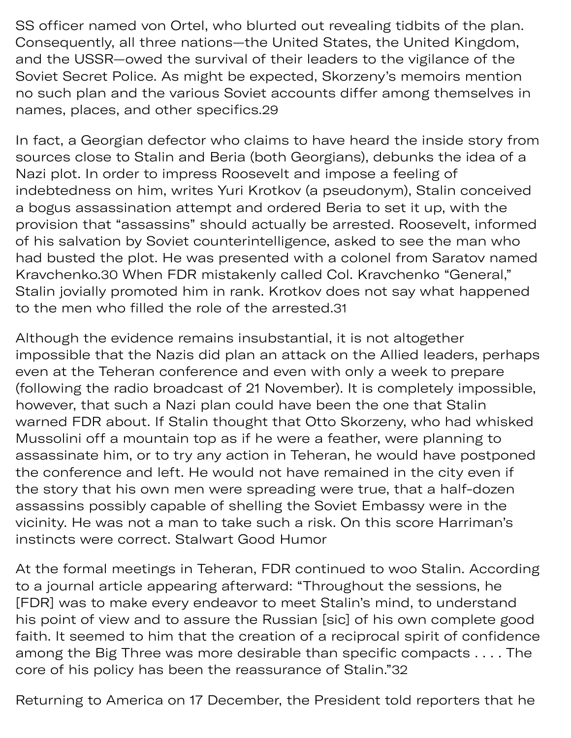SS officer named von Ortel, who blurted out revealing tidbits of the plan. Consequently, all three nations—the United States, the United Kingdom, and the USSR—owed the survival of their leaders to the vigilance of the Soviet Secret Police. As might be expected, Skorzeny's memoirs mention no such plan and the various Soviet accounts differ among themselves in names, places, and other [specifics.29](https://specifics.29)

In fact, a Georgian defector who claims to have heard the inside story from sources close to Stalin and Beria (both Georgians), debunks the idea of a Nazi plot. In order to impress Roosevelt and impose a feeling of indebtedness on him, writes Yuri Krotkov (a pseudonym), Stalin conceived a bogus assassination attempt and ordered Beria to set it up, with the provision that "assassins" should actually be arrested. Roosevelt, informed of his salvation by Soviet counterintelligence, asked to see the man who had busted the plot. He was presented with a colonel from Saratov named Kravchenko.30 When FDR mistakenly called Col. Kravchenko "General," Stalin jovially promoted him in rank. Krotkov does not say what happened to the men who filled the role of the [arrested.31](https://arrested.31)

Although the evidence remains insubstantial, it is not altogether impossible that the Nazis did plan an attack on the Allied leaders, perhap s even at the Teheran conference and even with only a week to prepare (following the radio broadcast of 21 November). It is completely impossible, however, that such a Nazi plan could have been the one that Stalin warned FDR about. If Stalin thought that Otto Skorzeny, who had whisked Mussolini off a mountain top as if he were a feather, were planning to assassinate him, or to try any action in Teheran, he would have postponed the conference and left. He would not have remained in the city even if the story that his own men were spreading were true, that a half-dozen assassins possibly capable of shelling the Soviet Embassy were in the vicinity. He was not a man to take such a risk. On this score Harriman's instincts were correct. Stalwart Good Humor

At the formal meetings in Teheran, FDR continued to woo Stalin. According to a journal article appearing afterward: "Throughout the sessions, he [FDR] was to make every endeavor to meet Stalin's mind, to understand his point of view and to assure the Russian [sic] of his own complete good faith. It seemed to him that the creation of a reciprocal spirit of confidence among the Big Three was more desirable than specific compacts . . . . The core of his policy has been the reassurance of Stalin."32

Returning to America on 17 December, the President told reporters that he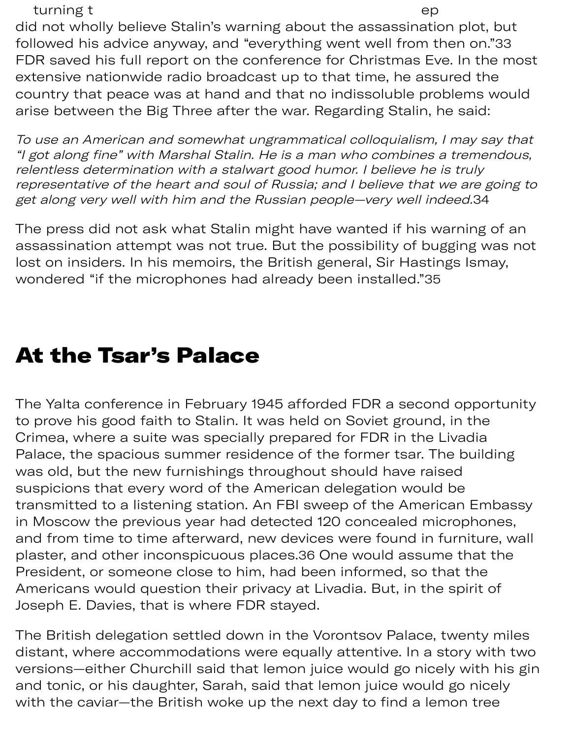turning the contract of the contract of the contract of the contract of the contract of the contract of the contract of the contract of the contract of the contract of the contract of the contract of the contract of the co

did not wholly believe Stalin's warning about the assassination plot, but followed his advice anyway, and "everything went well from then on." 33 FDR saved his full report on the conference for Christmas Eve. In the most extensive nationwide radio broadcast up to that time, he assured the country that peace was at hand and that no indissoluble problems would arise between the Big Three after the war. Regarding Stalin, he said:

To use an American and somewhat ungrammatical colloquialism, I may say that "I got along fine" with Marshal Stalin. He is a man who combines a tremendous, relentless determination with a stalwart good humor. I believe he is truly representative of the heart and soul of Russia; and I believe that we are going to get along very well with him and the Russian people—very well [indeed.](https://indeed.34)34

The press did not ask what Stalin might have wanted if his warning of an assassination attempt was not true. But the possibility of bugging was not lost on insiders. In his memoirs, the British general, Sir Hastings Ismay, wondered "if the microphones had already been installed."35

### At the Tsar's Palace

The Yalta conference in February 1945 afforded FDR a second opportunity to prove his good faith to Stalin. It was held on Soviet ground, in the Crimea, where a suite was specially prepared for FDR in the Livadia Palace, the spacious summer residence of the former tsar. The building was old, but the new furnishings throughout should have raised suspicions that every word of the American delegation would be transmitted to a listening station. An FBI sweep of the American Embassy in Moscow the previous year had detected 120 concealed microphones, and from time to time afterward, new devices were found in furniture, wall plaster, and other inconspicuous places.36 One would assume that the President, or someone close to him, had been informed, so that the Americans would question their privacy at Livadia. But, in the spirit of Joseph E. Davies, that is where FDR stayed.

The British delegation settled down in the Vorontsov Palace, twenty miles distant, where accommodations were equally attentive. In a story with two versions—either Churchill said that lemon juice would go nicely with his gin and tonic, or his daughter, Sarah, said that lemon juice would go nicely with the caviar—the British woke up the next day to find a lemon tree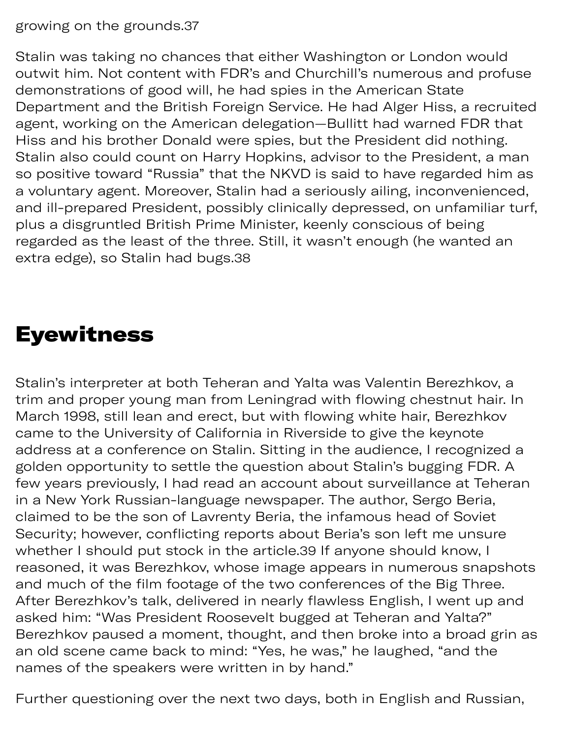growing on the [grounds.37](https://grounds.37)

Stalin was taking no chances that either Washington or London would outwit him. Not content with FDR's and Churchill's numerous and profuse demonstrations of good will, he had spies in the American State Department and the British Foreign Service. He had Alger Hiss, a recruited agent, working on the American delegation—Bullitt had warned FDR that Hiss and his brother Donald were spies, but the President did nothing. Stalin also could count on Harry Hopkins, advisor to the President, a man so positive toward "Russia" that the NKVD is said to have regarded him as a voluntary agent. Moreover, Stalin had a seriously ailing, inconvenienced, and ill-prepared President, possibly clinically depressed, on unfamiliar turf, plus a disgruntled British Prime Minister, keenly conscious of being regarded as the least of the three. Still, it wasn't enough (he wanted an extra edge), so Stalin had bugs.38

### Eyewitness

Stalin's interpreter at both Teheran and Yalta was Valentin Berezhkov, a trim and proper young man from Leningrad with flowing chestnut hair. In March 1998, still lean and erect, but with flowing white hair, Berezhkov came to the University of California in Riverside to give the keynote address at a conference on Stalin. Sitting in the audience, I recognized a golden opportunity to settle the question about Stalin's bugging FDR. A few years previously, I had read an account about surveillance at Teheran in a New York Russian-language newspaper. The author, Sergo Beria, claimed to be the son of Lavrenty Beria, the infamous head of Soviet Security; however, conflicting reports about Beria's son left me unsure whether I should put stock in the [article.](https://article.39)39 If anyone should know, I reasoned, it was Berezhkov, whose image appears in numerous snapshots and much of the film footage of the two conferences of the Big Three. After Berezhkov's talk, delivered in nearly flawless English, I went up and asked him: "Was President Roosevelt bugged at Teheran and Yalta?" Berezhkov paused a moment, thought, and then broke into a broad grin as an old scene came back to mind: "Yes, he was," he laughed, "and the names of the speakers were written in by hand."

Further questioning over the next two days, both in English and Russian,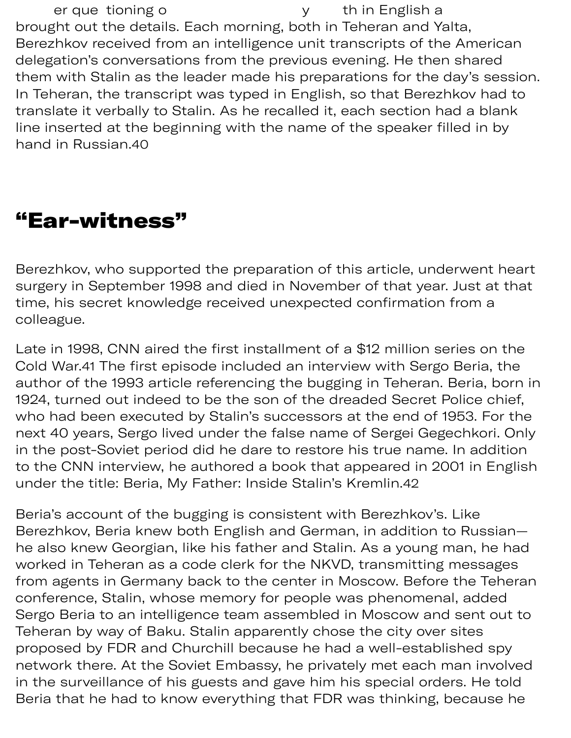er que tioning o state of the set of the in English a brought out the details. Each morning, both in Teheran and Yalta, Berezhkov received from an intelligence unit transcripts of the American delegation's conversations from the previous evening. He then shared them with Stalin as the leader made his preparations for the day's session. In Teheran, the transcript was typed in English, so that Berezhkov had to translate it verbally to Stalin. As he recalled it, each section had a blank line inserted at the beginning with the name of the speaker filled in by hand in [Russian.40](https://Russian.40)

#### "Ear-witness"

Berezhkov, who supported the preparation of this article, underwent heart surgery in September 1998 and died in November of that year. Just at that time, his secret knowledge received unexpected confirmation from a colleague.

Late in 1998, CNN aired the first installment of a \$12 million series on the Cold War.41 The first episode included an interview with Sergo Beria, the author of the 1993 article referencing the bugging in Teheran. Beria, born in 1924, turned out indeed to be the son of the dreaded Secret Police chief, who had been executed by Stalin's successors at the end of 1953. For the next 40 years, Sergo lived under the false name of Sergei Gegechkori. Only in the post-Soviet period did he dare to restore his true name. In addition to the CNN interview, he authored a book that appeared in 2001 in English under the title: Beria, My Father: Inside Stalin's [Kremlin.42](https://Kremlin.42)

Beria's account of the bugging is consistent with Berezhkov's. Like Berezhkov, Beria knew both English and German, in addition to Russian he also knew Georgian, like his father and Stalin. As a young man, he had worked in Teheran as a code clerk for the NKVD, transmitting messages from agents in Germany back to the center in Moscow. Before the Teheran conference, Stalin, whose memory for people was phenomenal, added Sergo Beria to an intelligence team assembled in Moscow and sent out to Teheran by way of Baku. Stalin apparently chose the city over sites proposed by FDR and Churchill because he had a well-established spy network there. At the Soviet Embassy, he privately met each man involved in the surveillance of his guests and gave him his special orders. He told Beria that he had to know everything that FDR was thinking, because he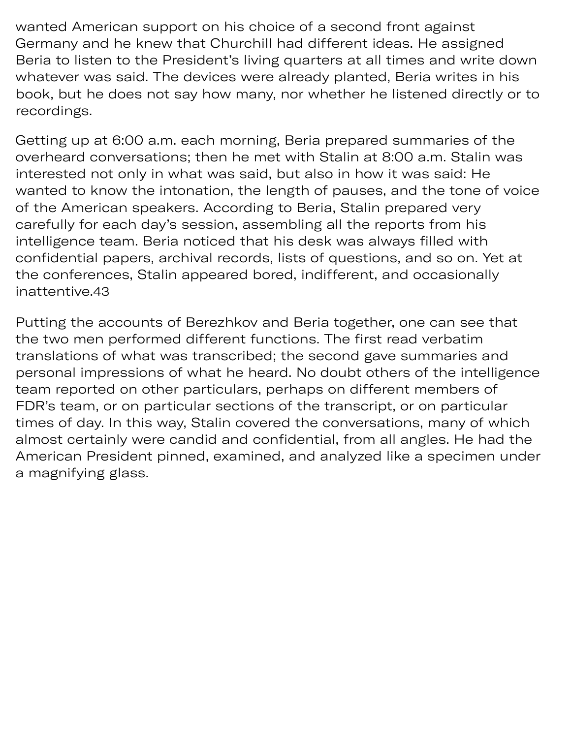wanted American support on his choice of a second front against Germany and he knew that Churchill had different ideas. He assigned Beria to listen to the President's living quarters at all times and write down whatever was said. The devices were already planted, Beria writes in his book, but he does not say how many, nor whether he listened directly or to recordings.

ything tha as thinking

Getting up at 6:00 a.m. each morning, Beria prepared summaries of the overheard conversations; then he met with Stalin at 8:00 a.m. Stalin was interested not only in what was said, but also in how it was said: He wanted to know the intonation, the length of pauses, and the tone of voice of the American speakers. According to Beria, Stalin prepared very carefully for each day's session, assembling all the reports from his intelligence team. Beria noticed that his desk was always filled with confidential papers, archival records, lists of questions, and so on. Yet at the conferences, Stalin appeared bored, indifferent, and occasionally [inattentive.43](https://inattentive.43)

Putting the accounts of Berezhkov and Beria together, one can see that the two men performed different functions. The first read verbatim translations of what was transcribed; the second gave summaries and personal impressions of what he heard. No doubt others of the intelligence team reported on other particulars, perhaps on different members of FDR's team, or on particular sections of the transcript, or on particular times of day. In this way, Stalin covered the conversations, many of which almost certainly were candid and confidential, from all angles. He had the American President pinned, examined, and analyzed like a specimen under a magnifying glass.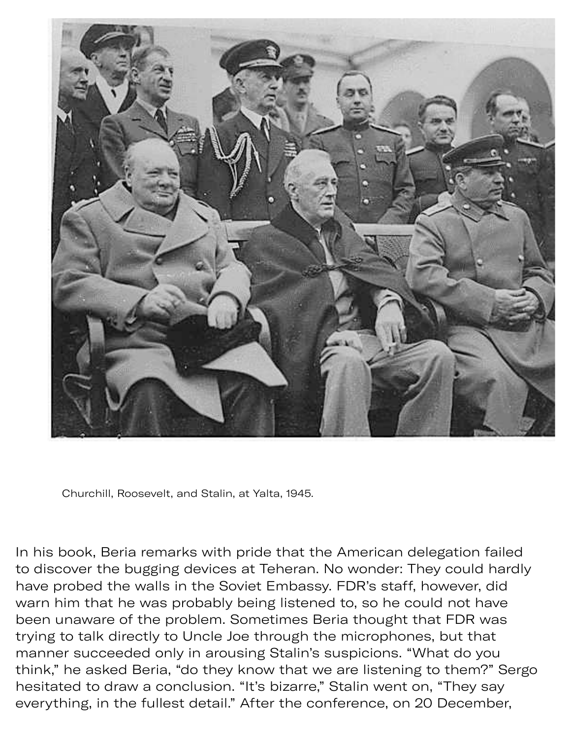

Churchill, Roosevelt, and Stalin, at Yalta, 1945.

In his book, Beria remarks with pride that the American delegation failed to discover the bugging devices at Teheran. No wonder: They could hardly have probed the walls in the Soviet Embassy. FDR's staff, however, did warn him that he was probably being listened to, so he could not have been unaware of the problem. Sometimes Beria thought that FDR was trying to talk directly to Uncle Joe through the microphones, but that manner succeeded only in arousing Stalin's suspicions. "What do you think," he asked Beria, "do they know that we are listening to them?" Sergo hesitated to draw a conclusion. "It's bizarre," Stalin went on, "They say everything, in the fullest detail." After the conference, on 20 December,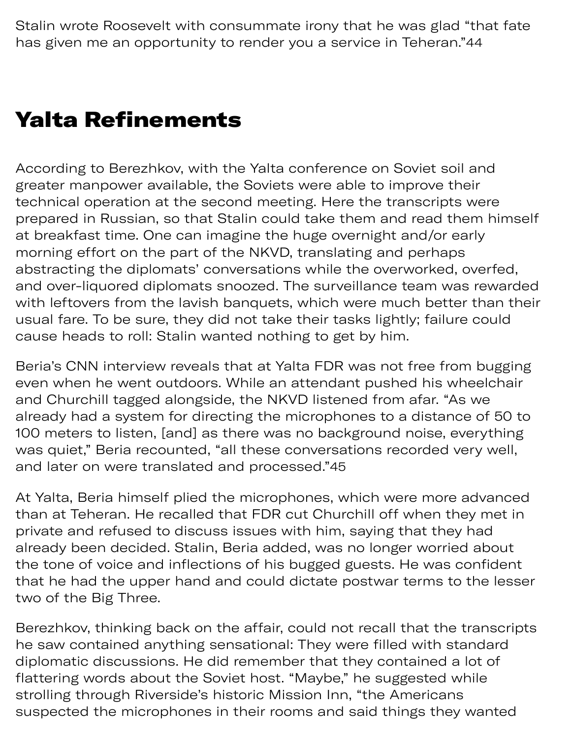Stalin wrote Roosevelt with consummate irony that he was glad "that fate has given me an opportunity to render you a service in Teheran."44

#### Yalta Refinements

According to Berezhkov, with the Yalta conference on Soviet soil and greater manpower available, the Soviets were able to improve their technical operation at the second meeting. Here the transcripts were prepared in Russian, so that Stalin could take them and read them himself at breakfast time. One can imagine the huge overnight and/or early morning effort on the part of the NKVD, translating and perhaps abstracting the diplomats' conversations while the overworked, overfed, and over-liquored diplomats snoozed. The surveillance team was rewarded with leftovers from the lavish banquets, which were much better than their usual fare. To be sure, they did not take their tasks lightly; failure could cause heads to roll: Stalin wanted nothing to get by him.

Beria's CNN interview reveals that at Yalta FDR was not free from bugging even when he went outdoors. While an attendant pushed his wheelchair and Churchill taged alongside, the NKVD listened from afar. "As we already had a system for directing the microphones to a distance of 50 to 100 meters to listen, [and] as there was no background noise, everything was quiet," Beria recounted, "all these conversations recorded very well, and later on were translated and processed."45

At Yalta, Beria himself plied the microphones, which were more advanced than at Teheran. He recalled that FDR cut Churchill off when they met in private and refused to discuss issues with him, saying that they had already been decided. Stalin, Beria added, was no longer worried about the tone of voice and inflections of his bugged guests. He was confident that he had the upper hand and could dictate postwar terms to the lesser two of the Big Three.

Berezhkov, thinking back on the affair, could not recall that the transcripts he saw contained anything sensational: They were filled with standard diplomatic discussions. He did remember that they contained a lot of flattering words about the Soviet host. "Maybe," he suggested while strolling through Riverside's historic Mission Inn, "the Americans suspected the microphones in their rooms and said things they wanted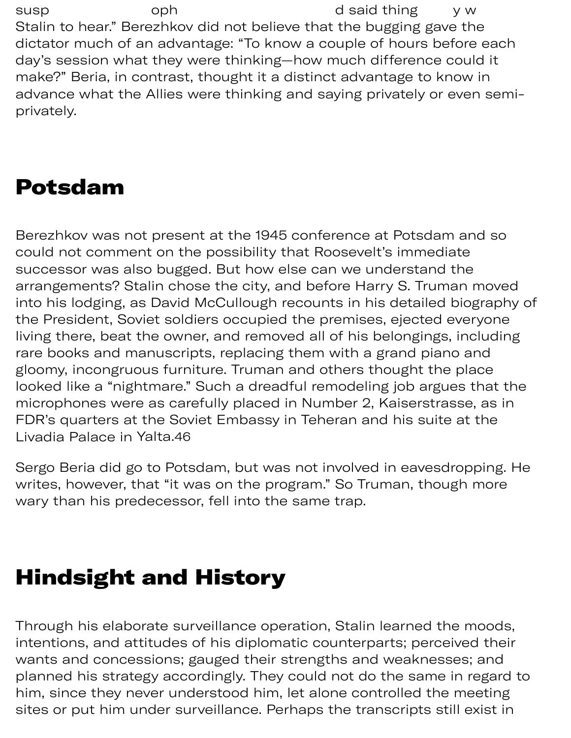susp oph d said thing y w Stalin to hear." Berezhkov did not believe that the bugging gave the dictator much of an advantage: "To know a couple of hours before each day's session what they were thinking—how much difference could it make?" Beria, in contrast, thought it a distinct advantage to know in advance what the Allies were thinking and saying privately or even semiprivately.

# Potsdam

Berezhkov was not present at the 1945 conference at Potsdam and so could not comment on the possibility that Roosevelt's immediate successor was also bugged. But how else can we understand the arrangements? Stalin chose the city, and before Harry S. Truman moved into his lodging, as David McCullough recounts in his detailed biography of the President, Soviet soldiers occupied the premises, ejected everyone living there, beat the owner, and removed all of his belongings, including rare books and manuscripts, replacing them with a grand piano and gloomy, incongruous furniture. Truman and others thought the place looked like a "nightmare." Such a dreadful remodeling job argues that the microphones were as carefully placed in Number 2, Kaiserstrasse, as in FDR's quarters at the Soviet Embassy in Teheran and his suite at the Livadia Palace in [Yalta.46](https://Yalta.46)

Sergo Beria did go to Potsdam, but was not involved in eavesdropping. He writes, however, that "it was on the program." So Truman, though more wary than his predecessor, fell into the same trap.

### Hindsight and History

Through his elaborate surveillance operation, Stalin learned the moods, intentions, and attitudes of his diplomatic counterparts; perceived their wants and concessions; gauged their strengths and weaknesses; and planned his strategy accordingly. They could not do the same in regard to him, since they never understood him, let alone controlled the meeting sites or put him under surveillance. Perhaps the transcripts still exist in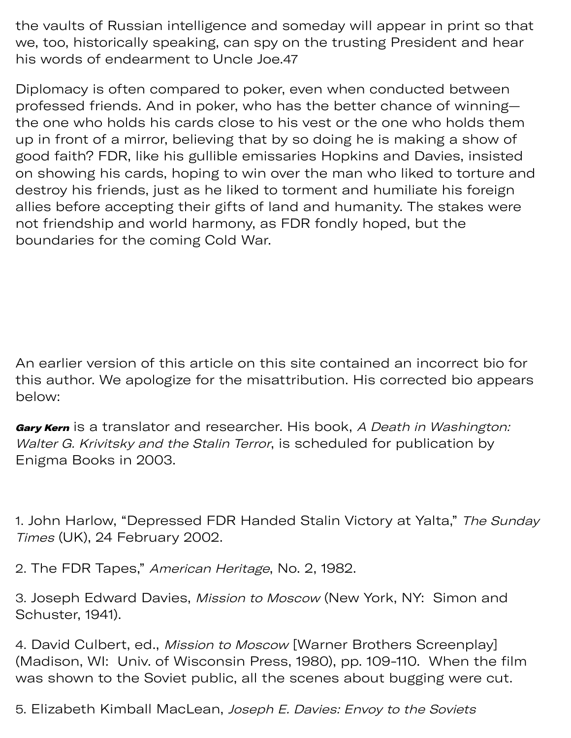the vaults of Russian intelligence and someday will appear in print so that we, too, historically speaking, can spy on the trusting President and hear his words of endearment to Uncle Joe.47

Diplomacy is often compared to poker, even when conducted between professed friends. And in poker, who has the better chance of winning the one who holds his cards close to his vest or the one who holds them up in front of a mirror, believing that by so doing he is making a show of good faith? FDR, like his gullible emissaries Hopkins and Davies, insisted on showing his cards, hoping to win over the man who liked to torture and destroy his friends, just as he liked to torment and humiliate his foreign allies before accepting their gifts of land and humanity. The stakes were not friendship and world harmony, as FDR fondly hoped, but the boundaries for the coming Cold War.

An earlier version of this article on this site contained an incorrect bio for this author. We apologize for the misattribution. His corrected bio appears below:

Gary Kern is a translator and researcher. His book, A Death in Washington: Walter G. Krivitsky and the Stalin Terror, is scheduled for publication by Enigma Books in 2003.

1. John Harlow, "Depressed FDR Handed Stalin Victory at Yalta," The Sunday Times (UK), 24 February 2002.

2. The FDR Tapes," American Heritage, No. 2, 1982.

3. Joseph Edward Davies, Mission to Moscow (New York, NY: Simon and Schuster, 1941).

4. David Culbert, ed., Mission to Moscow [Warner Brothers Screenplay] (Madison, WI: Univ. of Wisconsin Press, 1980), pp. 109-110. When the film was shown to the Soviet public, all the scenes about bugging were cut.

5. Elizabeth Kimball MacLean, Joseph E. Davies: Envoy to the Soviets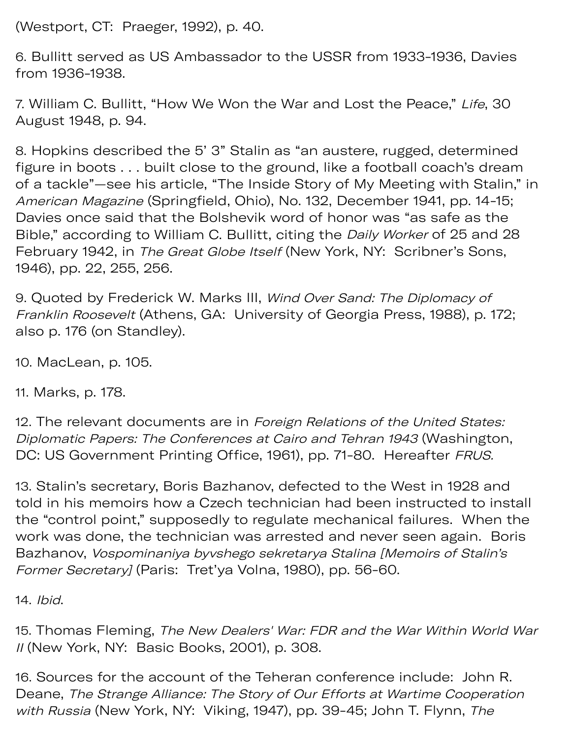(Westport, CT: Praeger, 1992), p. 40.

6. Bullitt served as US Ambassador to the USSR from 1933-1936, Davies from 1936-1938.

7. William C. Bullitt, "How We Won the War and Lost the Peace," Life, 30 August 1948, p. 94.

8. Hopkins described the 5' 3" Stalin as "an austere, rugged, determined figure in boots . . . built close to the ground, like a football coach's dream of a tackle"—see his article, "The Inside Story of My Meeting with Stalin," in American Magazine (Springfield, Ohio), No. 132, December 1941, pp. 14-15; Davies once said that the Bolshevik word of honor was "as safe as the Bible," according to William C. Bullitt, citing the *Daily Worker* of 25 and 28 February 1942, in The Great Globe Itself (New York, NY: Scribner's Sons, 1946), pp. 22, 255, 256.

9. Quoted by Frederick W. Marks III, Wind Over Sand: The Diplomacy of Franklin Roosevelt (Athens, GA: University of Georgia Press, 1988), p. 172; also p. 176 (on Standley).

10. MacLean, p. 105.

11. Marks, p. 178.

12. The relevant documents are in Foreign Relations of the United States: Diplomatic Papers: The Conferences at Cairo and Tehran 1943 (Washington, DC: US Government Printing Office, 1961), pp. 71-80. Hereafter FRUS.

13. Stalin's secretary, Boris Bazhanov, defected to the West in 1928 and told in his memoirs how a Czech technician had been instructed to install the "control point," supposedly to regulate mechanical failures. When the work was done, the technician was arrested and never seen again. Boris Bazhanov, Vospominaniya byvshego sekretarya Stalina [Memoirs of Stalin's Former Secretary] (Paris: Tret'ya Volna, 1980), pp. 56-60.

14. Ibid.

15. Thomas Fleming, The New Dealers' War: FDR and the War Within World War II (New York, NY: Basic Books, 2001), p. 308.

16. Sources for the account of the Teheran conference include: John R. Deane, The Strange Alliance: The Story of Our Efforts at Wartime Cooperation with Russia (New York, NY: Viking, 1947), pp. 39-45; John T. Flynn, The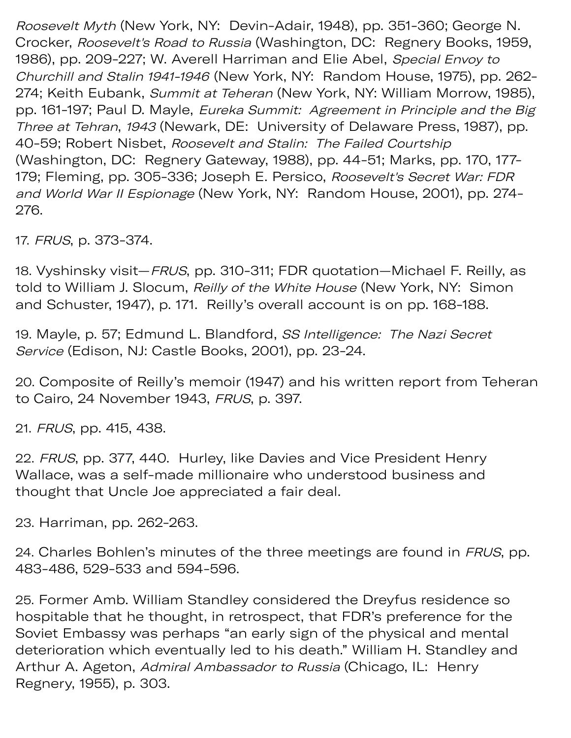Roosevelt Myth (New York, NY: Devin-Adair, 1948), pp. 351-360; George N. Crocker, Roosevelt's Road to Russia (Washington, DC: Regnery Books, 1959, 1986), pp. 209-227; W. Averell Harriman and Elie Abel, Special Envoy to Churchill and Stalin 1941-1946 (New York, NY: Random House, 1975), pp. 262- 274; Keith Eubank, Summit at Teheran (New York, NY: William Morrow, 1985), pp. 161-197; Paul D. Mayle, Eureka Summit: Agreement in Principle and the Big Three at Tehran, 1943 (Newark, DE: University of Delaware Press, 1987), pp. 40-59; Robert Nisbet, Roosevelt and Stalin: The Failed Courtship (Washington, DC: Regnery Gateway, 1988), pp. 44-51; Marks, pp. 170, 177- 179; Fleming, pp. 305-336; Joseph E. Persico, Roosevelt's Secret War: FDR and World War II Espionage (New York, NY: Random House, 2001), pp. 274- 276.

17. FRUS, p. 373-374.

18. Vyshinsky visit—FRUS, pp. 310-311; FDR quotation—Michael F. Reilly, as told to William J. Slocum, Reilly of the White House (New York, NY: Simon and Schuster, 1947), p. 171. Reilly's overall account is on pp. 168-188.

19. Mayle, p. 57; Edmund L. Blandford, SS Intelligence: The Nazi Secret Service (Edison, NJ: Castle Books, 2001), pp. 23-24.

20. Composite of Reilly's memoir (1947) and his written report from Teheran to Cairo, 24 November 1943, FRUS, p. 397.

21. FRUS, pp. 415, 438.

22. FRUS, pp. 377, 440. Hurley, like Davies and Vice President Henry Wallace, was a self-made millionaire who understood business and thought that Uncle Joe appreciated a fair deal.

23. Harriman, pp. 262-263.

24. Charles Bohlen's minutes of the three meetings are found in FRUS, pp. 483-486, 529-533 and 594-596.

25. Former Amb. William Standley considered the Dreyfus residence so hospitable that he thought, in retrospect, that FDR's preference for the Soviet Embassy was perhaps "an early sign of the physical and mental deterioration which eventually led to his death." William H. Standley and Arthur A. Ageton, Admiral Ambassador to Russia (Chicago, IL: Henry Regnery, 1955), p. 303.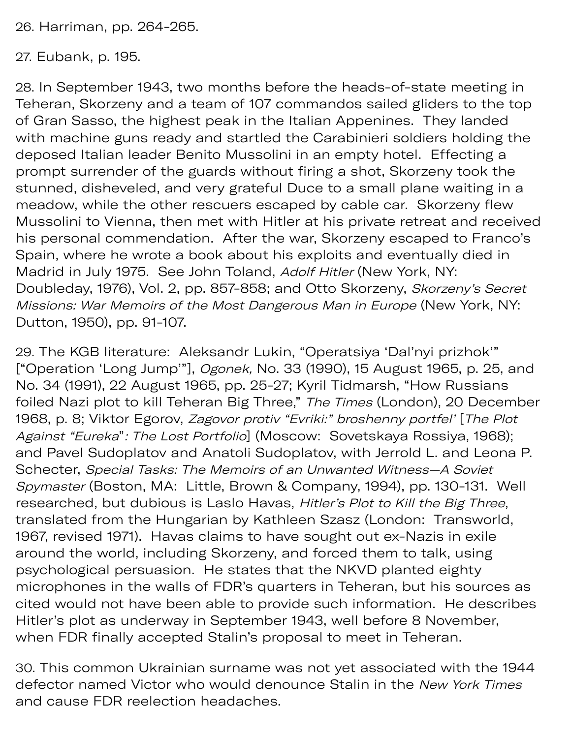26. Harriman, pp. 264-265.

27. Eubank, p. 195.

28. In September 1943, two months before the heads-of-state meeting in Teheran, Skorzeny and a team of 107 commandos sailed gliders to the top of Gran Sasso, the highest peak in the Italian Appenines. They landed with machine guns ready and startled the Carabinieri soldiers holding the deposed Italian leader Benito Mussolini in an empty hotel. Effecting a prompt surrender of the guards without firing a shot, Skorzeny took the stunned, disheveled, and very grateful Duce to a small plane waiting in a meadow, while the other rescuers escaped by cable car. Skorzeny flew Mussolini to Vienna, then met with Hitler at his private retreat and received his personal commendation. After the war, Skorzeny escaped to Franco's Spain, where he wrote a book about his exploits and eventually died in Madrid in July 1975. See John Toland, Adolf Hitler (New York, NY: Doubleday, 1976), Vol. 2, pp. 857-858; and Otto Skorzeny, Skorzeny's Secret Missions: War Memoirs of the Most Dangerous Man in Europe (New York, NY: Dutton, 1950), pp. 91-107.

29. The KGB literature: Aleksandr Lukin, "Operatsiya 'Dal'nyi prizhok'" ["Operation 'Long Jump'"], Ogonek, No. 33 (1990), 15 August 1965, p. 25, and No. 34 (1991), 22 August 1965, pp. 25-27; Kyril Tidmarsh, "How Russians foiled Nazi plot to kill Teheran Big Three," The Times (London), 20 December 1968, p. 8; Viktor Egorov, Zagovor protiv "Evriki:" broshenny portfel' [The Plot Against "Eureka": The Lost Portfolio] (Moscow: Sovetskaya Rossiya, 1968); and Pavel Sudoplatov and Anatoli Sudoplatov, with Jerrold L. and Leona P. Schecter, Special Tasks: The Memoirs of an Unwanted Witness—A Soviet Spymaster (Boston, MA: Little, Brown & Company, 1994), pp. 130-131. Well researched, but dubious is Laslo Havas, Hitler's Plot to Kill the Big Three, translated from the Hungarian by Kathleen Szasz (London: Transworld, 1967, revised 1971). Havas claims to have sought out ex-Nazis in exile around the world, including Skorzeny, and forced them to talk, using psychological persuasion. He states that the NKVD planted eighty microphones in the walls of FDR's quarters in Teheran, but his sources as cited would not have been able to provide such information. He describes Hitler's plot as underway in September 1943, well before 8 November, when FDR finally accepted Stalin's proposal to meet in Teheran.

30. This common Ukrainian surname was not yet associated with the 1944 defector named Victor who would denounce Stalin in the New York Times and cause FDR reelection headaches.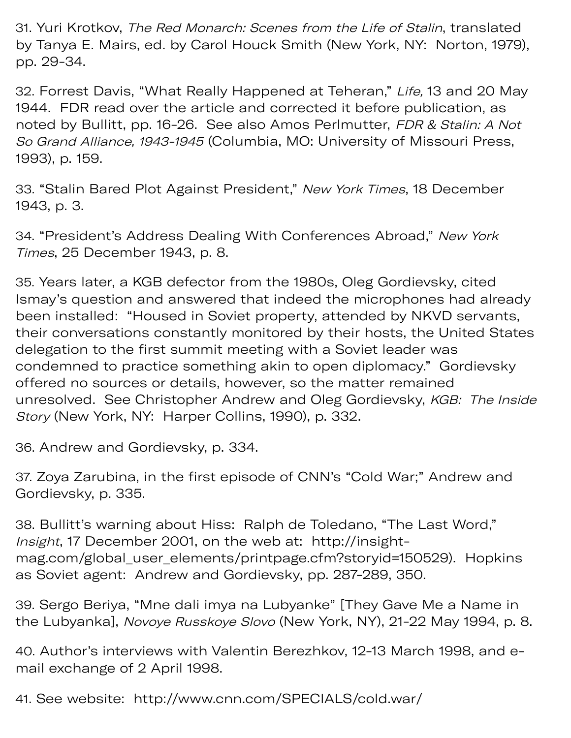31. Yuri Krotkov, The Red Monarch: Scenes from the Life of Stalin, translated by Tanya E. Mairs, ed. by Carol Houck Smith (New York, NY: Norton, 1979), pp. 29-34.

32. Forrest Davis, "What Really Happened at Teheran," Life, 13 and 20 May 1944. FDR read over the article and corrected it before publication, as noted by Bullitt, pp. 16-26. See also Amos Perlmutter, FDR & Stalin: A Not So Grand Alliance, 1943-1945 (Columbia, MO: University of Missouri Press, 1993), p. 159.

33. "Stalin Bared Plot Against President," New York Times, 18 December 1943, p. 3.

34. "President's Address Dealing With Conferences Abroad," New York Times, 25 December 1943, p. 8.

35. Years later, a KGB defector from the 1980s, Oleg Gordievsky, cited Ismay's question and answered that indeed the microphones had already been installed: "Housed in Soviet property, attended by NKVD servants, their conversations constantly monitored by their hosts, the United States delegation to the first summit meeting with a Soviet leader was condemned to practice something akin to open diplomacy." Gordievsky offered no sources or details, however, so the matter remained unresolved. See Christopher Andrew and Oleg Gordievsky, KGB: The Inside Story (New York, NY: Harper Collins, 1990), p. 332.

36. Andrew and Gordievsky, p. 334.

37. Zoya Zarubina, in the first episode of CNN's "Cold War;" Andrew and Gordievsky, p. 335.

38. Bullitt's warning about Hiss: Ralph de Toledano, "The Last Word," Insight, 17 December 2001, on the web at: <http://insight>mag.com/global\_user\_elements/printpage.cfm?storyid=150529). Hopkins as Soviet agent: Andrew and Gordievsky, pp. 287-289, 350.

39. Sergo Beriya, "Mne dali imya na Lubyanke" [They Gave Me a Name in the Lubyanka], Novoye Russkoye Slovo (New York, NY), 21-22 May 1994, p. 8.

40. Author's interviews with Valentin Berezhkov, 12-13 March 1998, and email exchange of 2 April 1998.

41. See website: <http://www.cnn.com/SPECIALS/cold.war>/